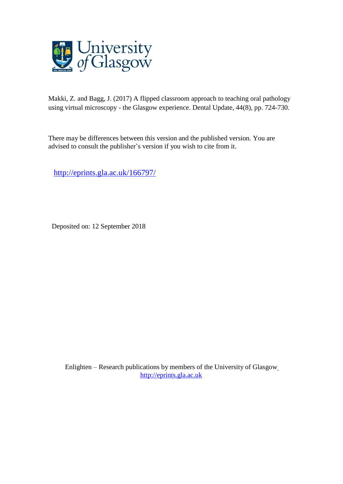# *Generic heading:* Oral pathology

*Title:* A flipped classroom approach to teaching oral pathology using virtual microscopy - the Glasgow experience.

*Authors:* Zayneb Makki\* BDS, MSc, FHEA and Jeremy Bagg\*\* PhD, FDS, FRCPath, FFPH

\* Zayneb Makki, Clinical University Teacher, Glasgow Dental School, 378 Sauchiehall Street, Glasgow, G2 3JZ

\*\* Professor of Clinical Microbiology and Head of School, Glasgow Dental School, 378 Sauchiehall Street, Glasgow, G2 3JZ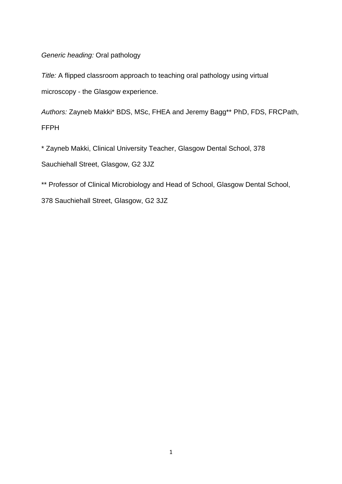*Title:* A flipped classroom approach to teaching oral pathology using virtual microscopy - the Glasgow experience

*Abstract:* This paper describes a student-centred, integrated teaching model in which oral pathology and oral medicine staff members jointly deliver tutorials in a combined on-line and face-to-face format. Students are provided with clinical and histopathological information, which they must review and use to answer questions via a Virtual Learning Environment before the tutorial takes place. By reviewing the students' answers on-line before the teaching session, staff can focus the tutorial itself on resolving knowledge gaps and afterwards post a set of gold standard answers on-line for students to reflect upon.

*Clinical relevance:* This article illustrates a combination of teaching methods and modern technologies which integrate clinical with laboratory sciences and enhance the access of students to histopathological materials without the need for access to a traditional microscopy facility

*Objective statement:* To understand how a novel combination of flipped classroom and virtual microscopy can transform the teaching of oral pathology in a clinical context.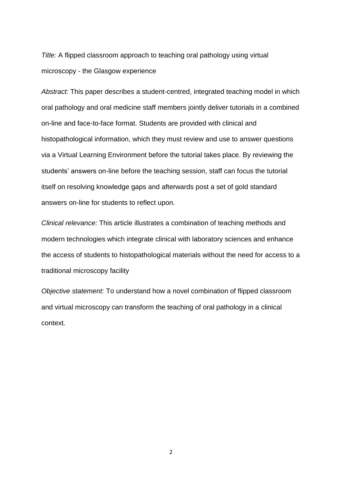#### **Introduction**

Many of us will recall, as students, the horrors of undergraduate histology and histopathology practical classes. The frequent difficulties of identifying cell types and understanding tissue structures reflected, to a large extent, the lack of suitable educational tools for tutors faced with large classes of students who were supplied only with traditional microscopes and glass slides. Thankfully, technological advances have permitted dramatic improvements in the teaching of these subjects, particularly with the advent of virtual microscopy in which histological specimens are scanned to provide virtual slides that can be stored and shared over computer networks. These images can be viewed independently on any computer that has internet access and the user has the full functionality of a traditional microscope (movement around the slide and multiple magnifications) through the computer. Modern technologies ensure that virtual slides have a high resolution and they are resistant to damage or breakage. Other advantages include the removal of a need for access to a traditional microscopy suite, improving student access to histological materials and reducing maintenance costs for teaching institutions.

The first steps in the field of virtual microscopy took place in the 1980s and early 1990s.<sup>1</sup> Technological advances continued rapidly and commercialisation of virtual microscopy started in the late 1990s, when several companies developed a file format for storage of virtual slides that allowed images to be streamed over the internet. 2

Integration of the virtual slides with an annotator applet in a database structure followed in 2001. This now made labelling of sections possible, in addition to linking the slides with gross images and textual material.<sup>3</sup> By this stage the virtual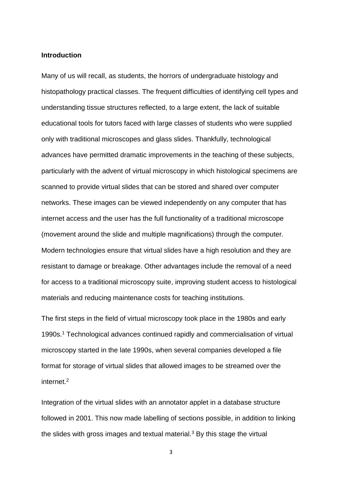microscope was ready to be used to its full advantage in teaching and assessment, not only of undergraduate students but in continual professional training and development as well, for example distance-learning and clinico-pathological conferences. It is the combination of this new technology with a method of teaching delivery called the 'flipped classroom' that is the subject of this paper.

#### **What is a 'flipped classroom'?**

The pioneers of the flipped classroom concept (also known as the 'inverted classroom') were two American educators, Jonathan Bergmann and Aaron Sams.<sup>4</sup> It is defined as: *"… a pedagogical approach in which direct instruction moves from the group learning space to the individual learning space, and the resulting group space is transformed into a dynamic, interactive learning environment where the educator guides students as they apply concepts and engage creatively in the subject matter*". 5

Whilst originally conceived for school teaching, the idea has quickly spread to higher education. The flipped classroom includes elements of both on-line and face-to–face teaching with the on-line component preceding the direct phase of teaching. The student has the responsibility of learning the topic (homework) whereas the facilitator engages in direct discussion and feedback in the classroom. In this way pre-class activities are used to help deepen students' knowledge.

Use of the flipped classroom in medical education has been documented in several subject areas, both undergraduate and postgraduate.<sup>6</sup> These include radiology,<sup>7</sup> primary care diagnostic skills,<sup>8</sup> physiology,<sup>9</sup> obstetrics<sup>10</sup> and pathology.<sup>11</sup>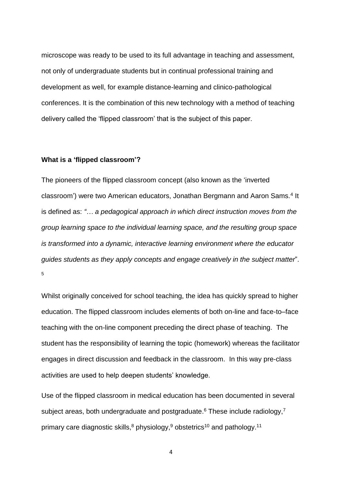In dental education, the flipped classroom model has been applied in a number of settings. One successful model has been the use of the flipped classroom method for pre-clinical skills teaching at Glasgow Dental School. <sup>12</sup> The flipped classroom method has also been used successfully for teaching paediatric dentistry,<sup>13</sup> dental anatomy<sup>14</sup> and prosthodontics.<sup>15</sup>

What is novel about the teaching described in this paper is that it employs virtual microscopy in a flipped classroom setting. Most of the published studies describing flipped classrooms in pathology have used videos as the online part of the classroom, after which students participated in learning activities designed to test knowledge acquisition. However, as discussed by Irma Sandercock of Arizona State University, unless it is combined with other strategies, watching videos as part of the learning process is considered to be passive learning, not dissimilar to a student sitting and listening to a traditional lecture.<sup>16</sup>

The over-arching definition of active learning is any instructional method that engages students in the learning process, requiring the students to do meaningful learning activities and give thought to what they are doing.<sup>17</sup> The major advantage associated with use of virtual microscopy is that this is an active process during which the student seeks the correct answer to the questions by studying the details of the slides in the context of clinical information and further reading. The advantages of active learning are well recognised<sup>17</sup> and we believe the combination of the flipped classroom with virtual microscopy provides exciting opportunities for both undergraduate and postgraduate education.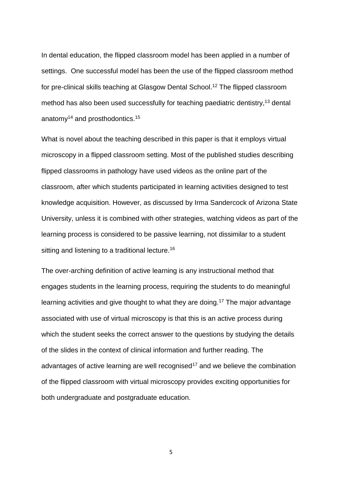#### **The Glasgow model**

In the currently used model, joint oral medicine / oral pathology tutorials are timetabled as part of the oral diseases course, predominantly during the Fourth Year of the BDS programme. They are delivered by staff members from both oral medicine and oral pathology, who teach together as a team in each session.

Design of the tutorials centres around a specific topic area, for example oral mucosal white patches. Digital scans of the teaching slides are hosted on the commercial website Slidepath® (http://www.leica-microsystems.com). This software provides the opportunity to incorporate narrative around each slide, so suitable clinical scenarios are created to accompany the histopathological material, and annotations can also be added onto each section. Hot links can be incorporated into the text, focusing on aspects of the histopathology, relevant journal articles, clinical images, websites and any other appropriate resources, thus providing the student with a comprehensive review of the topic (Figure 1).

The software used in this website also provides scope to design a questionnaire for each slide. These questions may either be in multiple choice question or short answer format (Figure 2). In preparation for the tutorial and as a key element of the flipped classroom approach, students must answer the questions. They are able to save their work as they proceed and can return to make changes as often as they wish, before submitting on or before the deadline. Once the answers have been uploaded, each student can view all the submitted answers, presented anonymously, from the entire class.

These materials are all accessed by the students via the Virtual Learning Environment (Moodle®) before the relevant tutorial.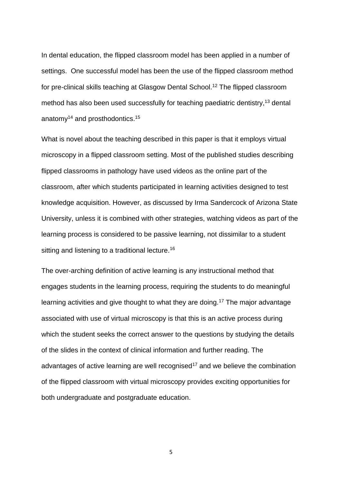One of the major advantages of the digital interface, which makes it excellent for teaching, is that all students are viewing exactly the same section. The fact that certain areas and structures can be outlined and annotated provides a superb teaching tool, enabling the students to all view the same cells/structures, hence saving time and effort for the teachers. Viewing can be customized further by use of a toolbar for brightness, contrast and even for viewing in black and white, which may be a preference for some users.

During the subsequent face-to-face session (Figure 3), each slide is viewed by the teacher and the class, with a discussion covering the clinical description, differential diagnoses, pathogenesis, management and treatment options. The main pathological details are observed and commented upon, after which the pre-session questions and group answers are reviewed. From the teacher's perspective this helps significantly to define areas of the topic that are causing confusion with students and to disclose knowledge gaps. Discussion in the session can then focus on these areas of difficulty and thereby reinforce learning. The teacher can also access each individual student's answers, which is useful for monitoring student participation in the sessions. A gold standard set of answers provided by the teaching staff is posted on-line after the face-to-face session, providing additional opportunities for feedback and student reflection.

One of the enjoyable aspects of this type of teaching is that no two sessions are the same because they are largely directed by answers the students have submitted, resulting in the opening of many different avenues of discussion. Furthermore, involvement of both oral medicine and oral pathology staff in the tutorials serves to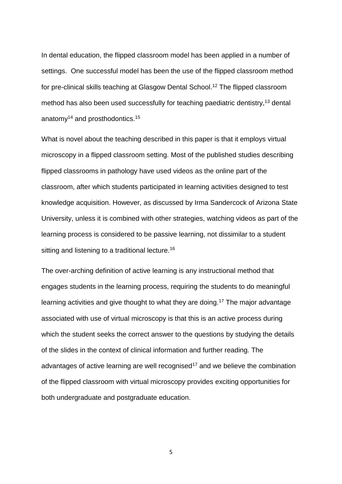demonstrate the link between the two subjects when diagnosing oral diseases and formulating a treatment plan.

#### **Advantages and disadvantages**

Introduction of any new form of teaching requires careful consideration in relation to pedagogical suitability, together with assessment of the advantages and disadvantages for students and teaching staff. Student feedback has been very positive as exemplified by the following quote

*"As a BDS4 student, I can compare the traditional microscopy experience from my first year at Glasgow Dental School to the digitised images we have been able to use this year. The difference is incredible, and I am sure my entire year would agree. The new software gives the ability for students to access the slides from home, at all times, and there are also annotations and descriptions on the slides which are beneficial for revision purposes."*

Tables 1 and 2 summarise the advantages and disadvantages that we have identified during use of this technology-enhanced flipped classroom approach.

### **Conclusion**

The flipped classroom, combined with virtual microscopy, has proved an effective and flexible model for the delivery of oral pathology teaching in a clinical context. The engagement of students as active learners has proved popular with them and the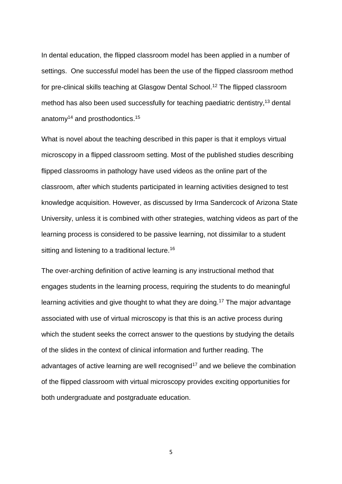flexibility of the process makes it attractive to tutors, who can provide more closely focused instruction in the face-to-face sessions.

### **Acknowledgements**

The support of Dr Carlos Miguel and Professor John Gibson in establishing this teaching model is gratefully acknowledged.

# **References**

- 1. Silage DA, Gil J. Digital image tiles: a method for the processing of large sections. *J Microsc* 1985; **138**: 221-227.
- 2. Westerkamp D, Gahm T. Non-distorted assemblage of the digital images of adjacent fields in histological sections. *Anal Cell Pathol* 1993; **5**: 235-247.
- 3. Dee F R. Virtual microscopy in pathology education. *Hum Pathol* 2009; **40**: 1112- 1121.
- 4. Bergmann J, Sams A. *Flip Your Classroom: Reach Every Student in Every Class Every Day.* International Society of Technology in Education, 2012. ISBN 978-1- 56484-315-9
- 5. [http://flippedlearning.org/definition-of-flipped-learning.](http://flippedlearning.org/definition-of-flipped-learning) Accessed 21/03/2017.
- 6. Ramnanan CJ, Pound LD. Advances in medical education and practice: student perceptions of the flipped classroom. *Adv Med Educ Pract* 2017; **8**: 63– 73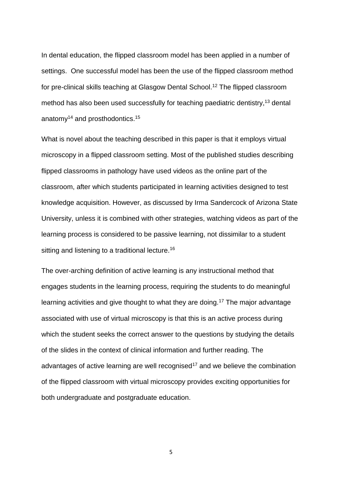- 7. Belfi LM, Bartolotta RJ, Giambrone AE, Davi C, Min RJ. "Flipping" the introductory clerkship in radiology: impact on medical student performance and perceptions. *Acad Radiol* 2015; **22**: 794–801.
- 8. Bosner S, Pickert J, Stibane T. Teaching differential diagnosis in primary care using an inverted classroom approach: student satisfaction and gain in skills and knowledge. *BMC Med Educ.* 2015; **15**: 63.
- 9. Tune JD, Sturek M, Basile DP. Flipped classroom model improves graduate student performance in cardiovascular, respiratory, and renal physiology. *Adv Physiol Educ* 2013; **37**: 316-320.
- 10.Morgan H, McLean K, Chapman C, Fitzgerald J, Yousuf A, Hammoud M. The flipped classroom for medical students. *Clin Teach* 2015; **12**: 155–160
- 11.Kenwright D, Dai W, Osbourne E, Grainger R. Tips for a flipped classroom: what we wished we knew before we flipped. *Med Ed Publish* 2016 <https://doi.org/10.15694/mep.2016.000079>
- 12.Crothers A, McKerlie R, Bagg J. The flipped classroom for pre-clinical dental skills teaching - a reflective commentary. *British Dental Journal* **222**, 709 - 713

(2017) | <doi:10.1038/sj.bdj.2017.409>

- 13.Bohaty BS, Redford GJ, Gadbury-Amyot CC Flipping the classroom: assessment of strategies to promote student-centered, self-directed learning in a dental school course in pediatric dentistry. *J Dent Educ.* 2016; **80**: 1319-1327
- 14.Bakr M, Massey WL, Massa HM. Flipping a Dental Anatomy Course: A Retrospective Study Over Four Years. *Education Research International* 2016<http://doi:10.1155/2016/7097398>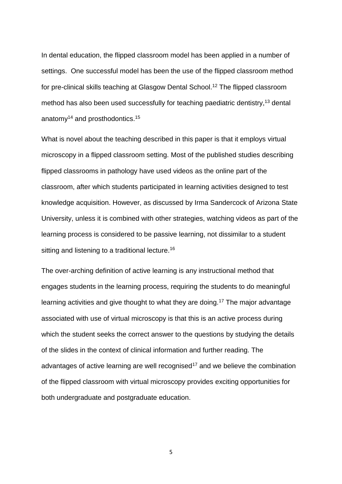- 15. Nishigawa K, Omoto K, Hayama R et al. Comparison between flipped classroom and team-based learning in fixed prosthodontic education. *Journal of prosthodontic research* 61 (2017) 217–222. <http://dx.doi.org/10.1016/j.jpor.2016.04.003>
- **16.Irma Sandercock Videos in the Classroom: Is That Really Active Learning?**

**[https://teachonline.asu.edu/2013/08/videos-in-the-classroom-is-that-really-](https://teachonline.asu.edu/2013/08/videos-in-the-classroom-is-that-really-active-learning/)**

**[active-learning/](https://teachonline.asu.edu/2013/08/videos-in-the-classroom-is-that-really-active-learning/) Accessed 02/04/2017**

17. Prince M. Does active learning work? A review of the research. *Journal of* 

*Engineering Education* 2004; **93**: 223-231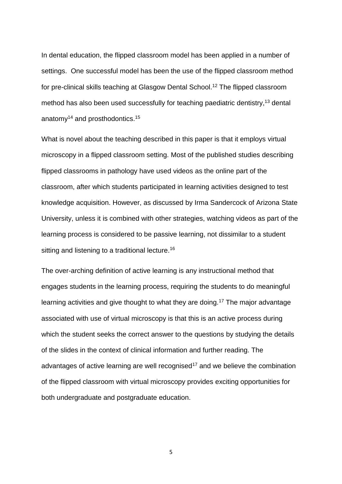# **Advantages**

All students acquire some knowledge of the subject before attending the face-toface class

Feedback can be given during the face-to-face session when viewing the submitted answers

Flipped classroom approach reveals knowledge gaps which can be rectified during the focused face-to-face session

All students can visualize the same area/structures on the same section at the same time, providing a highly standardised experience

Display of each standardised section on a screen during class saves significant teaching time, allowing three cases to be comfortably completed in 90 minutes

The ability to provide links within each package to other resources for students to use for their self-directed learning in the pre-class phase

# **Disadvantages**

There is a reliance on technology and software, which may on occasion cause issues in preparation and use of the teaching material for the flipped classroom At higher magnification (x40), some small details and colours may not show up quite as clearly as under the light microscope

Programmes for viewing software may not be compatible with some devices Investment of time is required to develop the on-line teaching materials

**Table 1.** Perceived advantages and disadvantages of the flipped classroom virtual microscopy model for teaching staff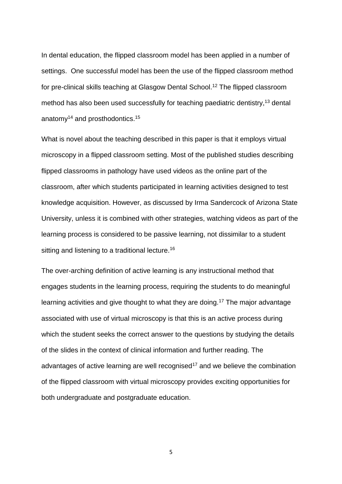### **Advantages**

Excellent and easy access to the teaching material online from any place with an internet connection

Pre-class on-line learning facilitates participation in the class discussion with oral medicine and oral pathology staff, helping to deepen their knowledge further Rapid and detailed feedback on their on-line answers

On-line availability of the slides together with the associated resources and gold standard answers is extremely useful for revision

Ease of use of the virtual microscopy compared with traditional microscopy

# **Disadvantages**

Occasional issues involving technology and software

Having homework!

**Table 1**. Perceived advantages and disadvantages of the flipped classroom virtual microscopy model for students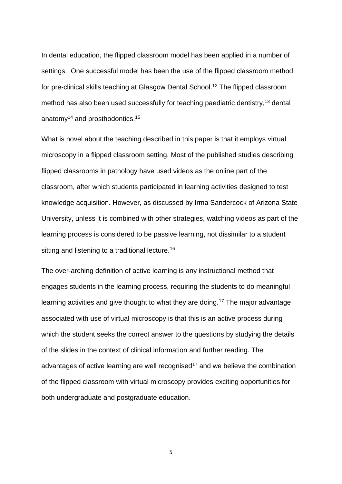

**Figure 1.** The use of annotations and the narrative with hot links in blue text.